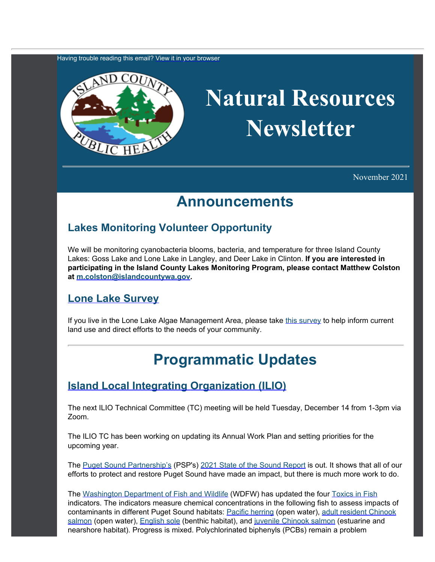Having trouble reading this email? [View](https://content.govdelivery.com/accounts/WACOISLAND/bulletins/2fac99e) [it in your browser](https://content.govdelivery.com/accounts/WACOISLAND/bulletins/2fac99e)



# **Natural Resources Newsletter**

November 2021

# **Announcements**

## **Lakes Monitoring Volunteer Opportunity**

We will be monitoring cyanobacteria blooms, bacteria, and temperature for three Island County Lakes: Goss Lake and Lone Lake in Langley, and Deer Lake in Clinton. **If you are interested in participating in the Island County Lakes Monitoring Program, please contact Matthew Colston at [m.colston@islandcountywa.gov.](mailto:m.colston@islandcountywa.gov)**

## **[Lone Lake Survey](https://forms.gle/v6ydNjJWfmjwAhwHA?utm_content=&utm_medium=email&utm_name=&utm_source=govdelivery&utm_term=)**

If you live in the Lone Lake Algae Management Area, please take [this survey](https://forms.gle/v6ydNjJWfmjwAhwHA?utm_content=&utm_medium=email&utm_name=&utm_source=govdelivery&utm_term=) to help inform current land use and direct efforts to the needs of your community.

# **Programmatic Updates**

## **[Island Local Integrating](https://www.islandcountywa.gov/Health/DNR/ILIO/Pages/Home.aspx?utm_content=&utm_medium=email&utm_name=&utm_source=govdelivery&utm_term=) [Organization \(ILIO\)](https://www.islandcountywa.gov/Health/DNR/ILIO/Pages/Home.aspx?utm_content=&utm_medium=email&utm_name=&utm_source=govdelivery&utm_term=)**

The next ILIO Technical Committee (TC) meeting will be held Tuesday, December 14 from 1-3pm via Zoom.

The ILIO TC has been working on updating its Annual Work Plan and setting priorities for the upcoming year.

The [Puget Sound](https://www.psp.wa.gov/?utm_content=&utm_medium=email&utm_name=&utm_source=govdelivery&utm_term=) [Partnership's](https://www.psp.wa.gov/?utm_content=&utm_medium=email&utm_name=&utm_source=govdelivery&utm_term=) (PSP's) [2021](https://lnks.gd/l/eyJhbGciOiJIUzI1NiJ9.eyJidWxsZXRpbl9saW5rX2lkIjoxMDAsInVyaSI6ImJwMjpjbGljayIsImJ1bGxldGluX2lkIjoiMjAyMTExMDEuNDgyMjkyNzEiLCJ1cmwiOiJodHRwOi8vd3d3LnN0YXRlb2Z0aGVzb3VuZC53YS5nb3YifQ.-ARU7iTd33iotB9XUYEDHQLu9Okx-QaMnNtB6NV_9Tc/s/1182085637/br/116086096444-l?utm_content=&utm_medium=email&utm_name=&utm_source=govdelivery&utm_term=) [State of the Sound Report](https://lnks.gd/l/eyJhbGciOiJIUzI1NiJ9.eyJidWxsZXRpbl9saW5rX2lkIjoxMDAsInVyaSI6ImJwMjpjbGljayIsImJ1bGxldGluX2lkIjoiMjAyMTExMDEuNDgyMjkyNzEiLCJ1cmwiOiJodHRwOi8vd3d3LnN0YXRlb2Z0aGVzb3VuZC53YS5nb3YifQ.-ARU7iTd33iotB9XUYEDHQLu9Okx-QaMnNtB6NV_9Tc/s/1182085637/br/116086096444-l?utm_content=&utm_medium=email&utm_name=&utm_source=govdelivery&utm_term=) is out. It shows that all of our efforts to protect and restore Puget Sound have made an impact, but there is much more work to do.

The [Washington Department](https://wdfw.wa.gov/?utm_content=&utm_medium=email&utm_name=&utm_source=govdelivery&utm_term=) [of Fish and Wildlife](https://wdfw.wa.gov/?utm_content=&utm_medium=email&utm_name=&utm_source=govdelivery&utm_term=) (WDFW) has updated the four [Toxics in Fish](https://vitalsigns.pugetsoundinfo.wa.gov/VitalSign/Detail/11?utm_content=&utm_medium=email&utm_name=&utm_source=govdelivery&utm_term=) indicators. The indicators measure chemical concentrations in the following fish to assess impacts of contaminants in different Puget Sound habitats: [Pacific herring](https://vitalsigns.pugetsoundinfo.wa.gov/VitalSignIndicator/Detail/50?utm_content=&utm_medium=email&utm_name=&utm_source=govdelivery&utm_term=) (open water), [adult resident Chinook](https://vitalsigns.pugetsoundinfo.wa.gov/VitalSignIndicator/Detail/47?utm_content=&utm_medium=email&utm_name=&utm_source=govdelivery&utm_term=) [salmon](https://vitalsigns.pugetsoundinfo.wa.gov/VitalSignIndicator/Detail/47?utm_content=&utm_medium=email&utm_name=&utm_source=govdelivery&utm_term=) (open water), [English sole](https://vitalsigns.pugetsoundinfo.wa.gov/VitalSignIndicator/Detail/48?utm_content=&utm_medium=email&utm_name=&utm_source=govdelivery&utm_term=) (benthic habitat), and [juvenile Chinook salmon](https://vitalsigns.pugetsoundinfo.wa.gov/VitalSignIndicator/Detail/49?utm_content=&utm_medium=email&utm_name=&utm_source=govdelivery&utm_term=) (estuarine and nearshore habitat). Progress is mixed. Polychlorinated biphenyls (PCBs) remain a problem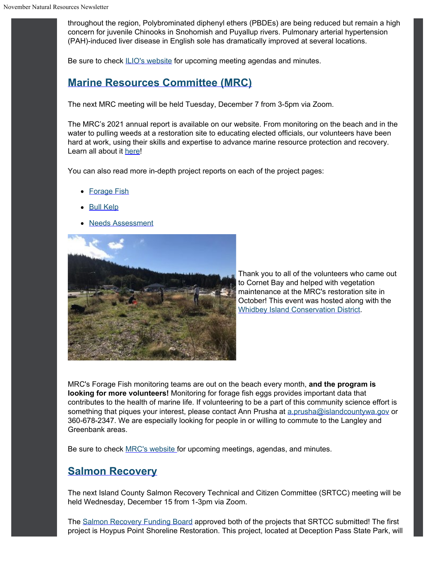throughout the region, Polybrominated diphenyl ethers (PBDEs) are being reduced but remain a high concern for juvenile Chinooks in Snohomish and Puyallup rivers. Pulmonary arterial hypertension (PAH)-induced liver disease in English sole has dramatically improved at several locations.

Be sure to check **[ILIO's website](https://www.islandcountywa.gov/Health/DNR/ILIO/Pages/ILIO-Agendas--Minutes.aspx?utm_content=&utm_medium=email&utm_name=&utm_source=govdelivery&utm_term=)** for upcoming meeting agendas and minutes.

## **[Marine Resources Committee \(MRC\)](https://www.islandcountymrc.org/?utm_content=&utm_medium=email&utm_name=&utm_source=govdelivery&utm_term=)**

The next MRC meeting will be held Tuesday, December 7 from 3-5pm via Zoom.

The MRC's 2021 annual report is available on our website. From monitoring on the beach and in the water to pulling weeds at a restoration site to educating elected officials, our volunteers have been hard at work, using their skills and expertise to advance marine resource protection and recovery. Learn all about it [here](https://www.islandcountymrc.org/media/20108/1-24-2021-annual-report-with-cover-page.pdf?utm_content=&utm_medium=email&utm_name=&utm_source=govdelivery&utm_term=)!

You can also read more in-depth project reports on each of the project pages:

- [Forage Fish](https://www.islandcountymrc.org/projects/forage-fish-survey/?utm_content=&utm_medium=email&utm_name=&utm_source=govdelivery&utm_term=)
- <u>[Bull Kelp](https://www.islandcountymrc.org/projects/bull-kelp-monitoring/?utm_content=&utm_medium=email&utm_name=&utm_source=govdelivery&utm_term=)</u>
- **[Needs Assessment](https://www.islandcountymrc.org/projects/2021-needs-assessment/?utm_content=&utm_medium=email&utm_name=&utm_source=govdelivery&utm_term=)**



Thank you to all of the volunteers who came out to Cornet Bay and helped with vegetation maintenance at the MRC's restoration site in October! This event was hosted along with the **[Whidbey Island](https://www.whidbeycd.org/?utm_content=&utm_medium=email&utm_name=&utm_source=govdelivery&utm_term=) [Conservation District](https://www.whidbeycd.org/?utm_content=&utm_medium=email&utm_name=&utm_source=govdelivery&utm_term=).** 

MRC's Forage Fish monitoring teams are out on the beach every month, **and the program is looking for more volunteers!** Monitoring for forage fish eggs provides important data that contributes to the health of marine life. If volunteering to be a part of this community science effort is something that piques your interest, please contact Ann Prusha at [a.prusha@islandcountywa.gov](mailto:a.prusha@islandcountywa.gov) or 360-678-2347. We are especially looking for people in or willing to commute to the Langley and Greenbank areas.

Be sure to check [MRC's website](https://www.islandcountymrc.org/meetings-events/?utm_content=&utm_medium=email&utm_name=&utm_source=govdelivery&utm_term=) for upcoming meetings, agendas, and minutes.

#### **[Salmon Recovery](https://www.islandcountywa.gov/Health/DNR/Salmon/Pages/Home.aspx?utm_content=&utm_medium=email&utm_name=&utm_source=govdelivery&utm_term=)**

The next Island County Salmon Recovery Technical and Citizen Committee (SRTCC) meeting will be held Wednesday, December 15 from 1-3pm via Zoom.

The [Salmon Recovery Funding](https://rco.wa.gov/boards/salmon-recovery-funding-board/?utm_content=&utm_medium=email&utm_name=&utm_source=govdelivery&utm_term=) [Board](https://rco.wa.gov/boards/salmon-recovery-funding-board/?utm_content=&utm_medium=email&utm_name=&utm_source=govdelivery&utm_term=) approved both of the projects that SRTCC submitted! The first project is Hoypus Point Shoreline Restoration. This project, located at Deception Pass State Park, will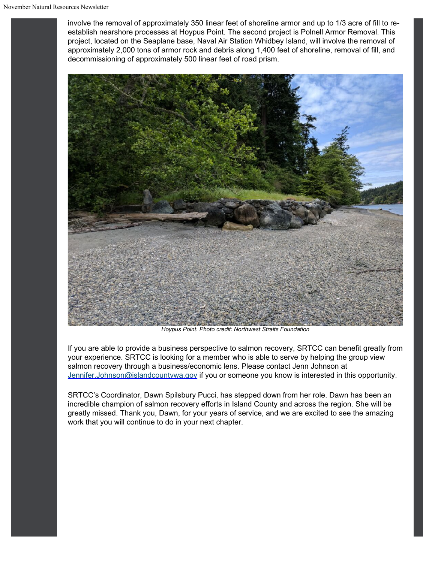involve the removal of approximately 350 linear feet of shoreline armor and up to 1/3 acre of fill to reestablish nearshore processes at Hoypus Point. The second project is Polnell Armor Removal. This project, located on the Seaplane base, Naval Air Station Whidbey Island, will involve the removal of approximately 2,000 tons of armor rock and debris along 1,400 feet of shoreline, removal of fill, and decommissioning of approximately 500 linear feet of road prism.



*Hoypus Point. Photo credit: Northwest Straits Foundation*

If you are able to provide a business perspective to salmon recovery, SRTCC can benefit greatly from your experience. SRTCC is looking for a member who is able to serve by helping the group view salmon recovery through a business/economic lens. Please contact Jenn Johnson at [Jennifer.Johnson@islandcountywa.gov](mailto:Jennifer.Johnson@islandcountywa.gov) if you or someone you know is interested in this opportunity.

SRTCC's Coordinator, Dawn Spilsbury Pucci, has stepped down from her role. Dawn has been an incredible champion of salmon recovery efforts in Island County and across the region. She will be greatly missed. Thank you, Dawn, for your years of service, and we are excited to see the amazing work that you will continue to do in your next chapter.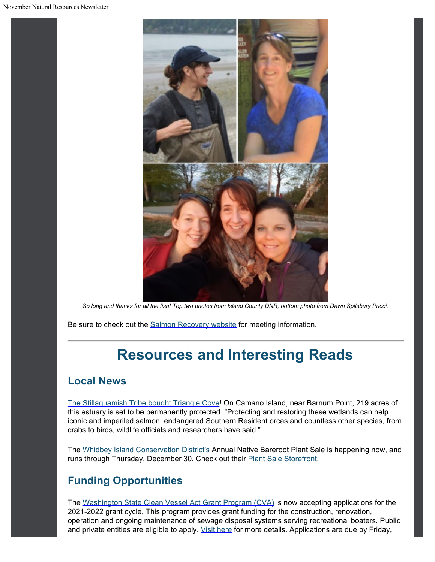

*So long and thanks for all the fish! Top two photos from Island County DNR, bottom photo from Dawn Spilsbury Pucci.*

Be sure to check out the [Salmon Recovery website](https://www.islandcountywa.gov/Health/DNR/Salmon/Pages/Salmon-Technical-Advisory-Group.aspx?utm_content=&utm_medium=email&utm_name=&utm_source=govdelivery&utm_term=) for meeting information.

# **Resources and Interesting Reads**

#### **Local News**

[The Stillaguamish Tribe](https://www.goskagit.com/scnews/news/stillaguamish-tribe-buys-triangle-cove-on-camano-to-preserve-estuary/article_a096b8d1-1754-526f-8fb1-6140948e48e7.html?utm_content=&utm_medium=email&utm_name=&utm_source=govdelivery&utm_term=#:~:text=The%20Stillaguamish%20Tribe%20of%20Indians%20last%20week%20announced,the%20Stillaguamish%20River%20delta%2C%20according%20to%20the%20tribe.) [bought Triangle Cove](https://www.goskagit.com/scnews/news/stillaguamish-tribe-buys-triangle-cove-on-camano-to-preserve-estuary/article_a096b8d1-1754-526f-8fb1-6140948e48e7.html?utm_content=&utm_medium=email&utm_name=&utm_source=govdelivery&utm_term=#:~:text=The%20Stillaguamish%20Tribe%20of%20Indians%20last%20week%20announced,the%20Stillaguamish%20River%20delta%2C%20according%20to%20the%20tribe.)! On Camano Island, near Barnum Point, 219 acres of this estuary is set to be permanently protected. "Protecting and restoring these wetlands can help iconic and imperiled salmon, endangered Southern Resident orcas and countless other species, from crabs to birds, wildlife officials and researchers have said."

The [Whidbey Island](https://www.whidbeycd.org/?utm_content=&utm_medium=email&utm_name=&utm_source=govdelivery&utm_term=) [Conservation District's](https://www.whidbeycd.org/?utm_content=&utm_medium=email&utm_name=&utm_source=govdelivery&utm_term=) Annual Native Bareroot Plant Sale is happening now, and runs through Thursday, December 30. Check out their [Plant Sale Storefront](https://r20.rs6.net/tn.jsp?c=IvhEA9BE_U0DlggKvMkq2vZ4F7ZfOdZWJzcjHvtHz3jSD_5iryBIgA%3D%3D&ch=YlZ_3Uql-b3M2fN9nJKrWlBwv0dgctHE7vceoMFj3K-CT5LbzPpY1A%3D%3D&f=001O8LrTlK0NT3qwMNtHWypjQfwbapXfxhw_qothjzv7kdtOwEbl64pq7eto01xCEdjIcrNlrICEeKRhZkOQ0WrKrWRvRk0jjx1-Xi-2YBHnmYuEbTLsQymZocaRu60n-9a82g3swiUhfeCBqcnYQP9Cxm9WAMNOF4oDkbNY3dKG68303IUL5S71UJAn_eU5Mz9nYiFtfkzilYh5g-iwuxrY6Z6oS7ZJLIgmcYI5v9WnwI%3D&utm_content=&utm_medium=email&utm_name=&utm_source=govdelivery&utm_term=).

## **Funding Opportunities**

The [Washington State Clean](https://parks.state.wa.us/758/Clean-Vessel-Act-Grant-Program?utm_content=&utm_medium=email&utm_name=&utm_source=govdelivery&utm_term=) [Vessel Act Grant Program \(CVA\)](https://parks.state.wa.us/758/Clean-Vessel-Act-Grant-Program?utm_content=&utm_medium=email&utm_name=&utm_source=govdelivery&utm_term=) is now accepting applications for the 2021-2022 grant cycle. This program provides grant funding for the construction, renovation, operation and ongoing maintenance of sewage disposal systems serving recreational boaters. Public and private entities are eligible to apply. [Visit here](https://parks.state.wa.us/758/Clean-Vessel-Act-Grant-Program?utm_content=&utm_medium=email&utm_name=&utm_source=govdelivery&utm_term=) for more details. Applications are due by Friday,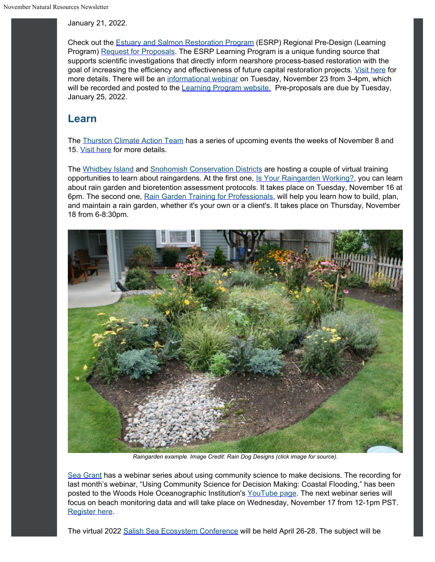January 21, 2022.

Check out the [Estuary and Salmon](https://wdfw.wa.gov/species-habitats/habitat-recovery/nearshore/conservation/programs/esrp?utm_content=&utm_medium=email&utm_name=&utm_source=govdelivery&utm_term=) [Restoration Program](https://wdfw.wa.gov/species-habitats/habitat-recovery/nearshore/conservation/programs/esrp?utm_content=&utm_medium=email&utm_name=&utm_source=govdelivery&utm_term=) (ESRP) Regional Pre-Design (Learning Program) [Request for Proposals](https://wdfw.wa.gov/sites/default/files/2021-11/2022_esrp_learning_rfp_final_1.pdf?utm_content=&utm_medium=email&utm_name=&utm_source=govdelivery&utm_term=). The ESRP Learning Program is a unique funding source that supports scientific investigations that directly inform nearshore process-based restoration with the goal of increasing the efficiency and effectiveness of future capital restoration projects. [Visit here](https://wdfw.wa.gov/species-habitats/habitat-recovery/nearshore/conservation/programs/esrp/learning-grant?utm_content=&utm_medium=email&utm_name=&utm_source=govdelivery&utm_term=) for more details. There will be an [informational webinar](https://teams.microsoft.com/dl/launcher/launcher.html?deeplinkId=98513fa5-ac52-47c3-a84c-5dead16fb380&directDl=true&enableMobilePage=true&msLaunch=true&suppressPrompt=true&type=meetup-join&url=%2F_%23%2Fl%2Fmeetup-join%2F19%3Ameeting_NmVmNjE5MjQtZWVmZC00ZDZiLWJiZjctZDNiYmM2YTdjMGQ2%40thread.v2%2F0%3Fcontext%3D%257b%2522Tid%2522%253a%252211d0e217-264e-400a-8ba0-57dcc127d72d%2522%252c%2522Oid%2522%253a%2522329c0f7b-d633-4ac8-b1df-8441bbde2d6d%2522%257d%26anon%3Dtrue&utm_content=&utm_medium=email&utm_name=&utm_source=govdelivery&utm_term=) on Tuesday, November 23 from 3-4pm, which will be recorded and posted to the [Learning](https://wdfw.wa.gov/species-habitats/habitat-recovery/nearshore/conservation/programs/esrp/learning-grant?utm_content=&utm_medium=email&utm_name=&utm_source=govdelivery&utm_term=) [Program website.](https://wdfw.wa.gov/species-habitats/habitat-recovery/nearshore/conservation/programs/esrp/learning-grant?utm_content=&utm_medium=email&utm_name=&utm_source=govdelivery&utm_term=) Pre-proposals are due by Tuesday, January 25, 2022.

#### **Learn**

The **[Thurston Climate Action](https://thurstonclimateaction.org/?utm_content=&utm_medium=email&utm_name=&utm_source=govdelivery&utm_term=) [Team](https://thurstonclimateaction.org/?utm_content=&utm_medium=email&utm_name=&utm_source=govdelivery&utm_term=)** has a series of upcoming events the weeks of November 8 and 15. [Visit here](https://thurstonclimateaction.org/upcoming-events/?utm_content=&utm_medium=email&utm_name=&utm_source=govdelivery&utm_term=) for more details.

The [Whidbey Island](https://www.whidbeycd.org/?utm_content=&utm_medium=email&utm_name=&utm_source=govdelivery&utm_term=) and [Snohomish Conservation](https://snohomishcd.org/?utm_content=&utm_medium=email&utm_name=&utm_source=govdelivery&utm_term=) [Districts](https://snohomishcd.org/?utm_content=&utm_medium=email&utm_name=&utm_source=govdelivery&utm_term=) are hosting a couple of virtual training opportunities to learn about raingardens. At the first one, <u>[Is Your Raingarden](https://snohomishcd.org/events-workshops/2021/11/18/rain-garden-training-for-professionals-webinar-74s2d?utm_content=&utm_medium=email&utm_name=&utm_source=govdelivery&utm_term=) [Working?](https://snohomishcd.org/events-workshops/2021/11/18/rain-garden-training-for-professionals-webinar-74s2d?utm_content=&utm_medium=email&utm_name=&utm_source=govdelivery&utm_term=),</u> you can learn about rain garden and bioretention assessment protocols. It takes place on Tuesday, November 16 at 6pm. The second one, [Rain Garden Training](https://snohomishcd.org/events-workshops/2021/11/18/rain-garden-training-for-professionals-webinar?utm_content=&utm_medium=email&utm_name=&utm_source=govdelivery&utm_term=) [for Professionals](https://snohomishcd.org/events-workshops/2021/11/18/rain-garden-training-for-professionals-webinar?utm_content=&utm_medium=email&utm_name=&utm_source=govdelivery&utm_term=), will help you learn how to build, plan, and maintain a rain garden, whether it's your own or a client's. It takes place on Thursday, November 18 from 6-8:30pm.



*Raingarden example. Image Credit: Rain Dog Designs (click image for source).*

[Sea Grant](https://seagrant.noaa.gov/?utm_content=&utm_medium=email&utm_name=&utm_source=govdelivery&utm_term=) has a webinar series about using community science to make decisions. The recording for last month's webinar, "Using Community Science for Decision Making: Coastal Flooding," has been posted to the Woods Hole Oceanographic Institution's [YouTube page](https://www.youtube.com/watch?utm_content=&utm_medium=email&utm_name=&utm_source=govdelivery&utm_term=&v=gQtvjyJqXAg). The next webinar series will focus on beach monitoring data and will take place on Wednesday, November 17 from 12-1pm PST. [Register here.](https://cornell.zoom.us/webinar/register/WN_AiaFuUg-Qnu5D3mzMEN4nA?utm_content=&utm_medium=email&utm_name=&utm_source=govdelivery&utm_term=)

The virtual 2022 [Salish Sea Ecosystem](https://salishseaconference.com/?utm_content=&utm_medium=email&utm_name=&utm_source=govdelivery&utm_term=) [Conference](https://salishseaconference.com/?utm_content=&utm_medium=email&utm_name=&utm_source=govdelivery&utm_term=) will be held April 26-28. The subject will be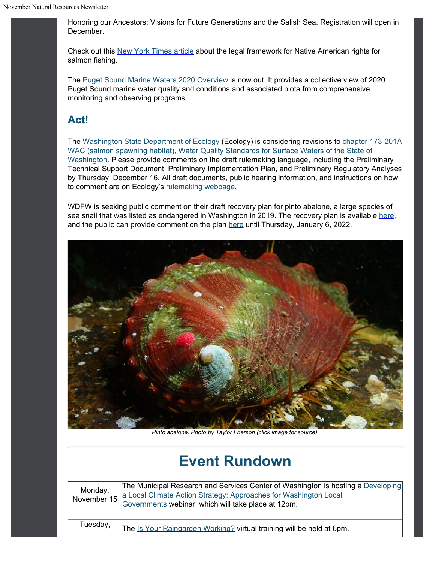Honoring our Ancestors: Visions for Future Generations and the Salish Sea. Registration will open in December.

Check out this [New York Times article](https://www.nytimes.com/2021/10/22/opinion/lummi-climate-change-port-terminal.html?utm_content=&utm_medium=email&utm_name=&utm_source=govdelivery&utm_term=) about the legal framework for Native American rights for salmon fishing.

The [Puget Sound Marine](https://www.psp.wa.gov/psmarinewatersoverview.php?utm_content=&utm_medium=email&utm_name=&utm_source=govdelivery&utm_term=#:~:text=A%20new%20report%20details%20the,marine%20life%20and%20seafood%20consumers) [Waters 2020 Overview](https://www.psp.wa.gov/psmarinewatersoverview.php?utm_content=&utm_medium=email&utm_name=&utm_source=govdelivery&utm_term=#:~:text=A%20new%20report%20details%20the,marine%20life%20and%20seafood%20consumers) is now out. It provides a collective view of 2020 Puget Sound marine water quality and conditions and associated biota from comprehensive monitoring and observing programs.

# **Act!**

The [Washington State](https://ecology.wa.gov/?utm_content=&utm_medium=email&utm_name=&utm_source=govdelivery&utm_term=) [Department of Ecology](https://ecology.wa.gov/?utm_content=&utm_medium=email&utm_name=&utm_source=govdelivery&utm_term=) (Ecology) is considering revisions to [chapter](https://apps.leg.wa.gov/WAC/default.aspx?cite=173-201A&utm_content=&utm_medium=email&utm_name=&utm_source=govdelivery&utm_term=) [173-201A](https://apps.leg.wa.gov/WAC/default.aspx?cite=173-201A&utm_content=&utm_medium=email&utm_name=&utm_source=govdelivery&utm_term=) [WAC \(salmon spawning habitat\), Water Quality Standards for](https://apps.leg.wa.gov/WAC/default.aspx?cite=173-201A&utm_content=&utm_medium=email&utm_name=&utm_source=govdelivery&utm_term=) [Surface Waters of the State of](https://apps.leg.wa.gov/WAC/default.aspx?cite=173-201A&utm_content=&utm_medium=email&utm_name=&utm_source=govdelivery&utm_term=) [Washington.](https://apps.leg.wa.gov/WAC/default.aspx?cite=173-201A&utm_content=&utm_medium=email&utm_name=&utm_source=govdelivery&utm_term=) Please provide comments on the draft rulemaking language, including the Preliminary Technical Support Document, Preliminary Implementation Plan, and Preliminary Regulatory Analyses by Thursday, December 16. All draft documents, public hearing information, and instructions on how to comment are on Ecology's [rulemaking webpage.](https://ecology.wa.gov/Regulations-Permits/Laws-rules-rulemaking/Rulemaking/WAC173-201A-Salmon-spawning-habitat?utm_content=&utm_medium=email&utm_name=&utm_source=govdelivery&utm_term=)

WDFW is seeking public comment on their draft recovery plan for pinto abalone, a large species of sea snail that was listed as endangered in Washington in 2019. The recovery plan is available [here,](https://wdfw.wa.gov/publications/02284?utm_content=&utm_medium=email&utm_name=&utm_source=govdelivery&utm_term=) and the public can provide comment on the plan [here](https://publicinput.com/PintoAbalone?utm_content=&utm_medium=email&utm_name=&utm_source=govdelivery&utm_term=) until Thursday, January 6, 2022.



*Pinto abalone. Photo by Taylor Frierson (click image for source).*

# **Event Rundown**

| Monday,<br>November 15 | The Municipal Research and Services Center of Washington is hosting a Developing<br>a Local Climate Action Strategy: Approaches for Washington Local<br>Governments webinar, which will take place at 12pm. |
|------------------------|-------------------------------------------------------------------------------------------------------------------------------------------------------------------------------------------------------------|
| Tuesday,               | The Is Your Raingarden Working? virtual training will be held at 6pm.                                                                                                                                       |